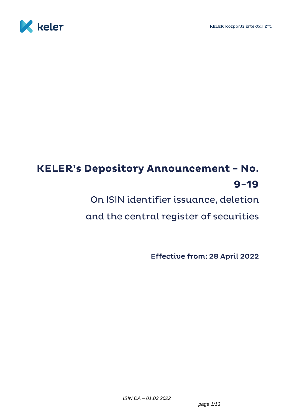<span id="page-0-0"></span>

# **KELER's Depository Announcement - No.**  $9 - 19$

On ISIN identifier issuance, deletion

and the central register of securities

**Effective from: 28 April 2022**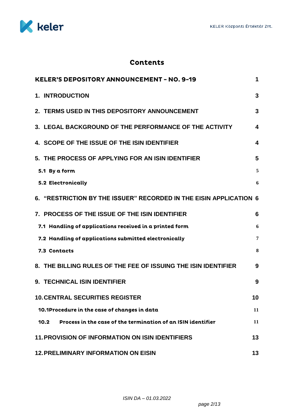

# **Contents**

| <b>KELER'S DEPOSITORY ANNOUNCEMENT - NO. 9-19</b>                    | 1                       |
|----------------------------------------------------------------------|-------------------------|
| <b>1. INTRODUCTION</b>                                               | 3                       |
| 2. TERMS USED IN THIS DEPOSITORY ANNOUNCEMENT                        | 3                       |
| 3. LEGAL BACKGROUND OF THE PERFORMANCE OF THE ACTIVITY               | $\overline{\mathbf{4}}$ |
| 4. SCOPE OF THE ISSUE OF THE ISIN IDENTIFIER                         | 4                       |
| 5. THE PROCESS OF APPLYING FOR AN ISIN IDENTIFIER                    | 5                       |
| 5.1 By a form                                                        | 5                       |
| 5.2 Electronically                                                   | 6                       |
| 6. "RESTRICTION BY THE ISSUER" RECORDED IN THE EISIN APPLICATION 6   |                         |
| 7. PROCESS OF THE ISSUE OF THE ISIN IDENTIFIER                       | 6                       |
| 7.1 Handling of applications received in a printed form              | 6                       |
| 7.2 Handling of applications submitted electronically                | $\overline{7}$          |
| 7.3 Contacts                                                         | 8                       |
| 8. THE BILLING RULES OF THE FEE OF ISSUING THE ISIN IDENTIFIER       | 9                       |
| 9. TECHNICAL ISIN IDENTIFIER                                         | 9                       |
| <b>10. CENTRAL SECURITIES REGISTER</b>                               | 10                      |
| 10.1Procedure in the case of changes in data                         | 11                      |
| Process in the case of the termination of an ISIN identifier<br>10.2 | 11                      |
| <b>11. PROVISION OF INFORMATION ON ISIN IDENTIFIERS</b>              | 13                      |
| <b>12. PRELIMINARY INFORMATION ON EISIN</b>                          | 13                      |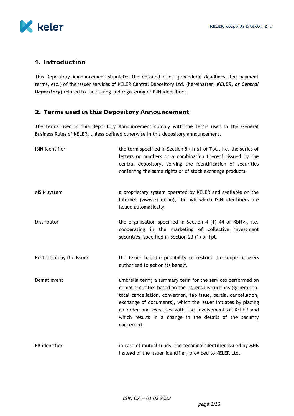

# <span id="page-2-0"></span>1. Introduction

This Depository Announcement stipulates the detailed rules (procedural deadlines, fee payment terms, etc.) of the issuer services of KELER Central Depository Ltd. (hereinafter: *KELER, or Central Depository*) related to the issuing and registering of ISIN identifiers.

# <span id="page-2-1"></span>2. Terms used in this Depository Announcement

The terms used in this Depository Announcement comply with the terms used in the General Business Rules of KELER, unless defined otherwise in this depository announcement.

| ISIN identifier           | the term specified in Section 5 (1) 61 of Tpt., i.e. the series of<br>letters or numbers or a combination thereof, issued by the<br>central depository, serving the identification of securities<br>conferring the same rights or of stock exchange products.                                                                                                                                             |
|---------------------------|-----------------------------------------------------------------------------------------------------------------------------------------------------------------------------------------------------------------------------------------------------------------------------------------------------------------------------------------------------------------------------------------------------------|
| eISIN system              | a proprietary system operated by KELER and available on the<br>Internet (www.keler.hu), through which ISIN identifiers are<br>issued automatically.                                                                                                                                                                                                                                                       |
| Distributor               | the organisation specified in Section 4 (1) 44 of Kbftv., i.e.<br>cooperating in the marketing of collective investment<br>securities, specified in Section 23 (1) of Tpt.                                                                                                                                                                                                                                |
| Restriction by the Issuer | the Issuer has the possibility to restrict the scope of users<br>authorised to act on its behalf.                                                                                                                                                                                                                                                                                                         |
| Demat event               | umbrella term; a summary term for the services performed on<br>demat securities based on the Issuer's instructions (generation,<br>total cancellation, conversion, tap issue, partial cancellation,<br>exchange of documents), which the Issuer initiates by placing<br>an order and executes with the involvement of KELER and<br>which results in a change in the details of the security<br>concerned. |
| FB identifier             | in case of mutual funds, the technical identifier issued by MNB<br>instead of the issuer identifier, provided to KELER Ltd.                                                                                                                                                                                                                                                                               |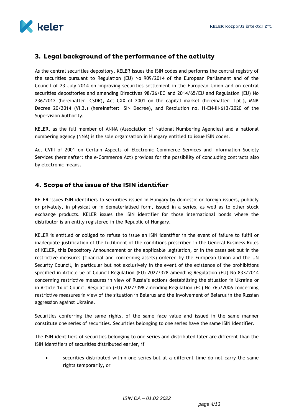

# <span id="page-3-0"></span>3. Legal background of the performance of the activity

As the central securities depository, KELER issues the ISIN codes and performs the central registry of the securities pursuant to Regulation (EU) No 909/2014 of the European Parliament and of the Council of 23 July 2014 on improving securities settlement in the European Union and on central securities depositories and amending Directives 98/26/EC and 2014/65/EU and Regulation (EU) No 236/2012 (hereinafter: CSDR), Act CXX of 2001 on the capital market (hereinafter: Tpt.), MNB Decree 20/2014 (VI.3.) (hereinafter: ISIN Decree), and Resolution no. H-EN-III-613/2020 of the Supervision Authority.

KELER, as the full member of ANNA (Association of National Numbering Agencies) and a national numbering agency (NNA) is the sole organisation in Hungary entitled to issue ISIN codes.

Act CVIII of 2001 on Certain Aspects of Electronic Commerce Services and Information Society Services (hereinafter: the e-Commerce Act) provides for the possibility of concluding contracts also by electronic means.

# <span id="page-3-1"></span>4. Scope of the issue of the ISIN identifier

KELER issues ISIN identifiers to securities issued in Hungary by domestic or foreign issuers, publicly or privately, in physical or in dematerialised form, issued in a series, as well as to other stock exchange products. KELER issues the ISIN identifier for those international bonds where the distributor is an entity registered in the Republic of Hungary.

KELER is entitled or obliged to refuse to issue an ISIN identifier in the event of failure to fulfil or inadequate justification of the fulfilment of the conditions prescribed in the General Business Rules of KELER, this Depository Announcement or the applicable legislation, or in the cases set out in the restrictive measures (financial and concerning assets) ordered by the European Union and the UN Security Council, in particular but not exclusively in the event of the existence of the prohibitions specified in Article 5e of Council Regulation (EU) 2022/328 amending Regulation (EU) No 833/2014 concerning restrictive measures in view of Russia's actions destabilising the situation in Ukraine or in Article 1x of Council Regulation (EU) 2022/398 amending Regulation (EC) No 765/2006 concerning restrictive measures in view of the situation in Belarus and the involvement of Belarus in the Russian aggression against Ukraine.

Securities conferring the same rights, of the same face value and issued in the same manner constitute one series of securities. Securities belonging to one series have the same ISIN identifier.

The ISIN identifiers of securities belonging to one series and distributed later are different than the ISIN identifiers of securities distributed earlier, if

 securities distributed within one series but at a different time do not carry the same rights temporarily, or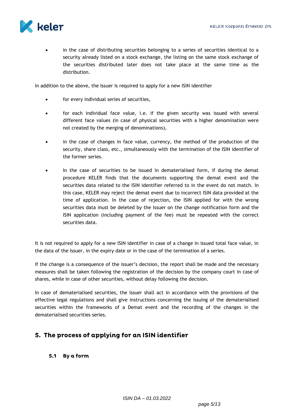

 in the case of distributing securities belonging to a series of securities identical to a security already listed on a stock exchange, the listing on the same stock exchange of the securities distributed later does not take place at the same time as the distribution.

In addition to the above, the Issuer is required to apply for a new ISIN identifier

- for every individual series of securities,
- for each individual face value, i.e. if the given security was issued with several different face values (in case of physical securities with a higher denomination were not created by the merging of denominations),
- in the case of changes in face value, currency, the method of the production of the security, share class, etc., simultaneously with the termination of the ISIN identifier of the former series.
- In the case of securities to be issued in dematerialised form, if during the demat procedure KELER finds that the documents supporting the demat event and the securities data related to the ISIN identifier referred to in the event do not match. In this case, KELER may reject the demat event due to incorrect ISIN data provided at the time of application. In the case of rejection, the ISIN applied for with the wrong securities data must be deleted by the Issuer on the change notification form and the ISIN application (including payment of the fee) must be repeated with the correct securities data.

It is not required to apply for a new ISIN identifier in case of a change in issued total face value, in the data of the Issuer, in the expiry date or in the case of the termination of a series.

If the change is a consequence of the issuer's decision, the report shall be made and the necessary measures shall be taken following the registration of the decision by the company court in case of shares, while in case of other securities, without delay following the decision.

In case of dematerialised securities, the Issuer shall act in accordance with the provisions of the effective legal regulations and shall give instructions concerning the issuing of the dematerialised securities within the frameworks of a Demat event and the recording of the changes in the dematerialised securities series.

# <span id="page-4-1"></span><span id="page-4-0"></span>5. The process of applying for an ISIN identifier

5.1 By a form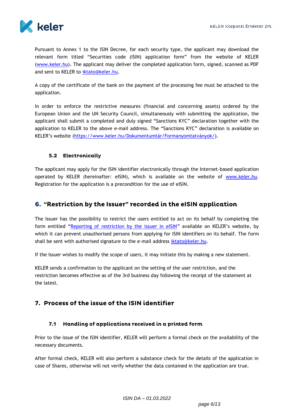

Pursuant to Annex 1 to the ISIN Decree, for each security type, the applicant may download the relevant form titled "Securities code (ISIN) application form" from the website of KELER [\(www.keler.hu\)](http://www.keler.hu/). The applicant may deliver the completed application form, signed, scanned as PDF and sent to KELER to [iktato@keler.hu.](mailto:iktato@keler.hu)

A copy of the certificate of the bank on the payment of the processing fee must be attached to the application.

In order to enforce the restrictive measures (financial and concerning assets) ordered by the European Union and the UN Security Council, simultaneously with submitting the application, the applicant shall submit a completed and duly signed "Sanctions KYC" declaration together with the application to KELER to the above e-mail address. The "Sanctions KYC" declaration is available on KELER's website ([https://www.keler.hu/Dokumentumtár/Formanyomtatvány](https://www.keler.hu/Dokumentumtár/Formanyomtatványok/)ok/).

## <span id="page-5-0"></span>5.2 Electronically

The applicant may apply for the ISIN identifier electronically through the Internet-based application operated by KELER (hereinafter: eISIN), which is available on the website of [www.keler.hu.](http://www.keler.hu/) Registration for the application is a precondition for the use of eISIN.

# <span id="page-5-1"></span>6. "Restriction by the Issuer" recorded in the eISIN application

The Issuer has the possibility to restrict the users entitled to act on its behalf by completing the form entitled "[Reporting of restriction by the issuer in eISIN](http://www.keler.hu/keler/keler.listhead.news.page?nodeid=1220)" available on KELER's website, by which it can prevent unauthorised persons from applying for ISIN identifiers on its behalf. The form shall be sent with authorised signature to the e-mail address [iktato@keler.hu.](mailto:iktato@keler.hu)

If the Issuer wishes to modify the scope of users, it may initiate this by making a new statement.

KELER sends a confirmation to the applicant on the setting of the user restriction, and the restriction becomes effective as of the 3rd business day following the receipt of the statement at the latest.

# <span id="page-5-3"></span><span id="page-5-2"></span>7. Process of the issue of the ISIN identifier

#### 7.1 Handling of applications received in a printed form

Prior to the issue of the ISIN identifier, KELER will perform a formal check on the availability of the necessary documents.

After formal check, KELER will also perform a substance check for the details of the application in case of Shares, otherwise will not verify whether the data contained in the application are true.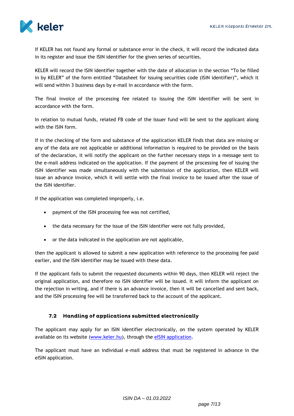

If KELER has not found any formal or substance error in the check, it will record the indicated data in its register and issue the ISIN identifier for the given series of securities.

KELER will record the ISIN identifier together with the date of allocation in the section "To be filled in by KELER" of the form entitled "Datasheet for issuing securities code (ISIN identifier)", which it will send within 3 business days by e-mail in accordance with the form.

The final invoice of the processing fee related to issuing the ISIN identifier will be sent in accordance with the form.

In relation to mutual funds, related FB code of the Issuer fund will be sent to the applicant along with the ISIN form.

If in the checking of the form and substance of the application KELER finds that data are missing or any of the data are not applicable or additional information is required to be provided on the basis of the declaration, it will notify the applicant on the further necessary steps in a message sent to the e-mail address indicated on the application. If the payment of the processing fee of issuing the ISIN identifier was made simultaneously with the submission of the application, then KELER will issue an advance invoice, which it will settle with the final invoice to be issued after the issue of the ISIN identifier.

If the application was completed improperly, i.e.

- payment of the ISIN processing fee was not certified,
- the data necessary for the issue of the ISIN identifier were not fully provided,
- or the data indicated in the application are not applicable,

then the applicant is allowed to submit a new application with reference to the processing fee paid earlier, and the ISIN identifier may be issued with these data.

If the applicant fails to submit the requested documents within 90 days, then KELER will reject the original application, and therefore no ISIN identifier will be issued. It will inform the applicant on the rejection in writing, and if there is an advance invoice, then it will be cancelled and sent back, and the ISIN processing fee will be transferred back to the account of the applicant.

#### <span id="page-6-0"></span>7.2 Handling of applications submitted electronically

The applicant may apply for an ISIN identifier electronically, on the system operated by KELER available on its website (www.keler.hu), through the [eISIN application.](https://isin.keler.hu/user/inputLogin.action)

The applicant must have an individual e-mail address that must be registered in advance in the eISIN application.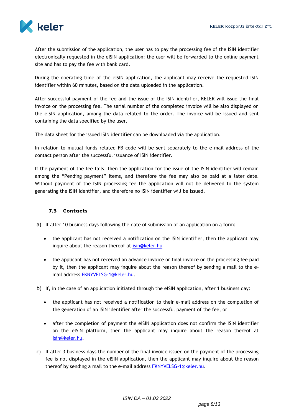

After the submission of the application, the user has to pay the processing fee of the ISIN identifier electronically requested in the eISIN application: the user will be forwarded to the online payment site and has to pay the fee with bank card.

During the operating time of the eISIN application, the applicant may receive the requested ISIN identifier within 60 minutes, based on the data uploaded in the application.

After successful payment of the fee and the issue of the ISIN identifier, KELER will issue the final invoice on the processing fee. The serial number of the completed invoice will be also displayed on the eISIN application, among the data related to the order. The invoice will be issued and sent containing the data specified by the user.

The data sheet for the issued ISIN identifier can be downloaded via the application.

In relation to mutual funds related FB code will be sent separately to the e-mail address of the contact person after the successful issuance of ISIN identifier.

If the payment of the fee fails, then the application for the issue of the ISIN identifier will remain among the "Pending payment" items, and therefore the fee may also be paid at a later date. Without payment of the ISIN processing fee the application will not be delivered to the system generating the ISIN identifier, and therefore no ISIN identifier will be issued.

#### <span id="page-7-0"></span>7.3 Contacts

a) If after 10 business days following the date of submission of an application on a form:

- the applicant has not received a notification on the ISIN identifier, then the applicant may inquire about the reason thereof at [isin@keler.hu](mailto:isin@keler.hu)
- the applicant has not received an advance invoice or final invoice on the processing fee paid by it, then the applicant may inquire about the reason thereof by sending a mail to the email address [FKNYVELSG-1@keler.hu.](mailto:FKNYVELSG-1@keler.hu)
- b) If, in the case of an application initiated through the eISIN application, after 1 business day:
	- the applicant has not received a notification to their e-mail address on the completion of the generation of an ISIN identifier after the successful payment of the fee, or
	- after the completion of payment the eISIN application does not confirm the ISIN identifier on the eISIN platform, then the applicant may inquire about the reason thereof at [isin@keler.hu.](mailto:isin@keler.hu)
- c) If after 3 business days the number of the final invoice issued on the payment of the processing fee is not displayed in the eISIN application, then the applicant may inquire about the reason thereof by sending a mail to the e-mail address **FKNYVELSG-1@keler.hu.**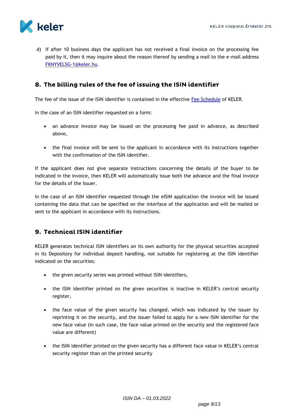

d) If after 10 business days the applicant has not received a final invoice on the processing fee paid by it, then it may inquire about the reason thereof by sending a mail to the e-mail address [FKNYVELSG-1@keler.hu.](mailto:FKNYVELSG-1@keler.hu)

# <span id="page-8-0"></span>8. The billing rules of the fee of issuing the ISIN identifier

The fee of the issue of the ISIN identifier is contained in the effective [Fee Schedule](http://www.keler.hu/keler/keler.news.page?nodeid=285) of KELER.

In the case of an ISIN identifier requested on a form:

- an advance invoice may be issued on the processing fee paid in advance, as described above,
- the final invoice will be sent to the applicant in accordance with its instructions together with the confirmation of the ISIN identifier.

If the applicant does not give separate instructions concerning the details of the buyer to be indicated in the invoice, then KELER will automatically issue both the advance and the final invoice for the details of the Issuer.

In the case of an ISIN identifier requested through the eISIN application the invoice will be issued containing the data that can be specified on the interface of the application and will be mailed or sent to the applicant in accordance with its instructions.

# <span id="page-8-1"></span>9. Technical ISIN identifier

KELER generates technical ISIN identifiers on its own authority for the physical securities accepted in its Depository for individual deposit handling, not suitable for registering at the ISIN identifier indicated on the securities:

- the given security series was printed without ISIN identifiers,
- the ISIN identifier printed on the given securities is inactive in KELER's central security register,
- the face value of the given security has changed, which was indicated by the issuer by reprinting it on the security, and the issuer failed to apply for a new ISIN identifier for the new face value (in such case, the face value printed on the security and the registered face value are different)
- the ISIN identifier printed on the given security has a different face value in KELER's central security register than on the printed security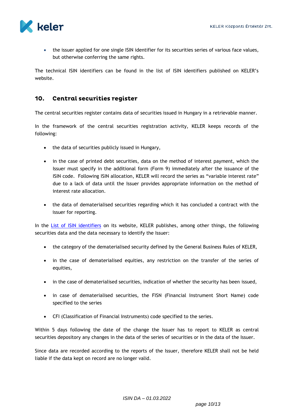

• the issuer applied for one single ISIN identifier for its securities series of various face values, but otherwise conferring the same rights.

The technical ISIN identifiers can be found in the list of ISIN identifiers published on KELER's website.

#### <span id="page-9-0"></span>10. Central securities register

The central securities register contains data of securities issued in Hungary in a retrievable manner.

In the framework of the central securities registration activity, KELER keeps records of the following:

- the data of securities publicly issued in Hungary,
- in the case of printed debt securities, data on the method of interest payment, which the Issuer must specify in the additional form (Form 9) immediately after the issuance of the ISIN code. Following ISIN allocation, KELER will record the series as "variable interest rate" due to a lack of data until the Issuer provides appropriate information on the method of interest rate allocation.
- the data of dematerialised securities regarding which it has concluded a contract with the issuer for reporting.

In the [List of ISIN identifiers](https://edemat.keler.hu/eib_webadmin/edematorderlistaction) on its website, KELER publishes, among other things, the following securities data and the data necessary to identify the Issuer:

- the category of the dematerialised security defined by the General Business Rules of KELER,
- in the case of dematerialised equities, any restriction on the transfer of the series of equities,
- in the case of dematerialised securities, indication of whether the security has been issued,
- in case of dematerialised securities, the FISN (Financial Instrument Short Name) code specified to the series
- CFI (Classification of Financial Instruments) code specified to the series.

Within 5 days following the date of the change the Issuer has to report to KELER as central securities depository any changes in the data of the series of securities or in the data of the Issuer.

Since data are recorded according to the reports of the Issuer, therefore KELER shall not be held liable if the data kept on record are no longer valid.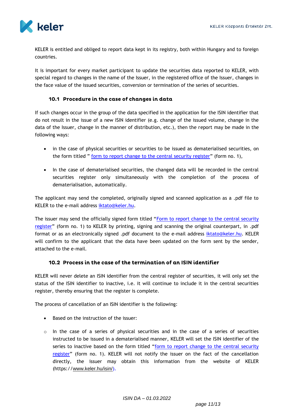

KELER is entitled and obliged to report data kept in its registry, both within Hungary and to foreign countries.

It is important for every market participant to update the securities data reported to KELER, with special regard to changes in the name of the Issuer, in the registered office of the Issuer, changes in the face value of the issued securities, conversion or termination of the series of securities.

### 10.1 Procedure in the case of changes in data

<span id="page-10-0"></span>If such changes occur in the group of the data specified in the application for the ISIN identifier that do not result in the issue of a new ISIN identifier (e.g. change of the issued volume, change in the data of the Issuer, change in the manner of distribution, etc.), then the report may be made in the following ways:

- in the case of physical securities or securities to be issued as dematerialised securities, on the form titled " [form to report change to the central security register](https://www.keler.hu/Dokumentumtár/Formanyomtatványok/ISIN%20nyomtatványok/2022_02_01_1.%20Változasbejelento%20kozpont%20ertekpapir%20nyilvantartashoz.pdf?download)" (form no. 1),
- In the case of dematerialised securities, the changed data will be recorded in the central securities register only simultaneously with the completion of the process of dematerialisation, automatically.

The applicant may send the completed, originally signed and scanned application as a .pdf file to KELER to the e-mail address [iktato@keler.hu.](mailto:iktato@keler.hu)

The issuer may send the officially signed form titled "[Form to report change to the central security](https://www.keler.hu/Dokumentumtár/Formanyomtatványok/ISIN%20nyomtatványok/2022_02_01_1.%20Változasbejelento%20kozpont%20ertekpapir%20nyilvantartashoz.pdf?download)  [register](https://www.keler.hu/Dokumentumtár/Formanyomtatványok/ISIN%20nyomtatványok/2022_02_01_1.%20Változasbejelento%20kozpont%20ertekpapir%20nyilvantartashoz.pdf?download)" (form no. 1) to KELER by printing, signing and scanning the original counterpart, in .pdf format or as an electronically signed .pdf document to the e-mail address [iktato@keler.hu.](mailto:iktato@keler.hu) KELER will confirm to the applicant that the data have been updated on the form sent by the sender, attached to the e-mail.

#### 10.2 Process in the case of the termination of an ISIN identifier

<span id="page-10-1"></span>KELER will never delete an ISIN identifier from the central register of securities, it will only set the status of the ISIN identifier to inactive, i.e. it will continue to include it in the central securities register, thereby ensuring that the register is complete.

The process of cancellation of an ISIN identifier is the following:

- Based on the instruction of the issuer:
- o In the case of a series of physical securities and in the case of a series of securities instructed to be issued in a dematerialised manner, KELER will set the ISIN identifier of the series to inactive based on the form titled "[form to report change to the central security](https://www.keler.hu/Dokumentumtár/Formanyomtatványok/ISIN%20nyomtatványok/2022_02_01_1.%20Változasbejelento%20kozpont%20ertekpapir%20nyilvantartashoz.pdf)  [register](https://www.keler.hu/Dokumentumtár/Formanyomtatványok/ISIN%20nyomtatványok/2022_02_01_1.%20Változasbejelento%20kozpont%20ertekpapir%20nyilvantartashoz.pdf)" (form no. 1). KELER will not notify the issuer on the fact of the cancellation directly, the issuer may obtain this information from the website of KELER (https://www.keler.hu/isin/).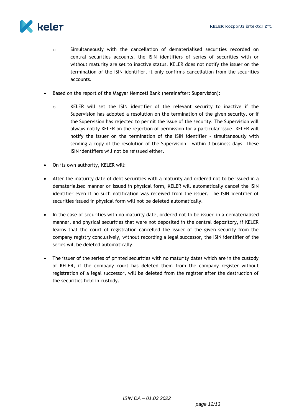

- o Simultaneously with the cancellation of dematerialised securities recorded on central securities accounts, the ISIN identifiers of series of securities with or without maturity are set to inactive status. KELER does not notify the issuer on the termination of the ISIN identifier, it only confirms cancellation from the securities accounts.
- Based on the report of the Magyar Nemzeti Bank (hereinafter: Supervision):
	- o KELER will set the ISIN identifier of the relevant security to inactive if the Supervision has adopted a resolution on the termination of the given security, or if the Supervision has rejected to permit the issue of the security. The Supervision will always notify KELER on the rejection of permission for a particular issue. KELER will notify the issuer on the termination of the ISIN identifier - simultaneously with sending a copy of the resolution of the Supervision - within 3 business days. These ISIN identifiers will not be reissued either.
- On its own authority, KELER will:
- After the maturity date of debt securities with a maturity and ordered not to be issued in a dematerialised manner or issued in physical form, KELER will automatically cancel the ISIN identifier even if no such notification was received from the issuer. The ISIN identifier of securities issued in physical form will not be deleted automatically.
- In the case of securities with no maturity date, ordered not to be issued in a dematerialised manner, and physical securities that were not deposited in the central depository, if KELER learns that the court of registration cancelled the issuer of the given security from the company registry conclusively, without recording a legal successor, the ISIN identifier of the series will be deleted automatically.
- The issuer of the series of printed securities with no maturity dates which are in the custody of KELER, if the company court has deleted them from the company register without registration of a legal successor, will be deleted from the register after the destruction of the securities held in custody.